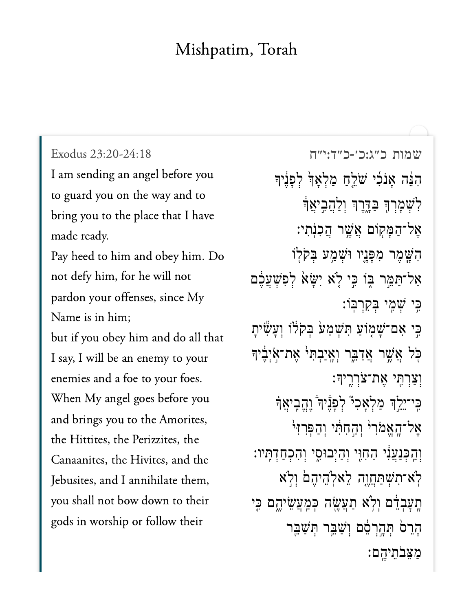## Mishpatim, Torah

[שמות כ״ג:כ׳-כ״ד:י״ח](https://www.sefaria.org/Exodus%2023:20-24:18) 23:20-24:18 Exodus Exodus 23:20-24:18 I am sending an angel before you to guard you on the way and to bring you to the place that I have made ready. Pay heed to him and obey him. Do not defy him, for he will not pardon your offenses, since My Name is in him; but if you obey him and do all that I say, I will be an enemy to your enemies and a foe to your foes. When My angel goes before you and brings you to the Amorites, the Hittites, the Perizzites, the Canaanites, the Hivites, and the Jebusites, and I annihilate them, you shall not bow down to their gods in worship or follow their

הִנֵּה אֲנֹלִי שֹׁלֵחַ מַלְאָךְׂ לְפָנֵיךָ לִשְׁמָרְךָּ בַּדֶּרֶךְ וְלַהֲבִי**א**ַֽךָּ אַל־הַמָּקוֹם אֲשֶׁר הֲכִנְתִי: הִשֱמֵר מִפָּנֵיו וּשִׁמֲע בִּקֹלְוֹ אַל־תַּמֵּר בִּוֹ כֵּי לְא יְשָׂא לְפִשְׁעֲבֶם ּבֵי שָׁמֵי בִּקְרָבּוֹ: ֿכֵּי אִם־שָׁמָוֹעַ תִּשְׁמַע<sub>ָ</sub> בְּקֹלֹוּ וְעָשִׁיתָ ֿכְּל אֲשֱר אֲדַבֵּר וְאֲיַבְתִּי אֶת־אָיִבֶּיִד וְצַרְתֵּי אֶת־צֹרְרֵיךָ: ּכֵּי־יֵלֵךְ מַלְאָכִי *יִ*לְפָּנֵיׁךָ וֶהֵבְיאֲךָ אֵל־הָאֱמֹרִי וְהַחִתִּי וְהַפְּרִזְיֹ וְהַכְּנַעֲּנִי הַחָוִּי וְהַיְבוּסֵי וְהִכְחַדְתֵּיו: ַלְא־תִשְׁתַּחֲוֶה לֵאלֹהֶיהֶם וְלָא ְּתְעָבְדֶּ֫ם וְלְא תַעֲשֱׂה כִּמְעֲשֵׂיהֶם כִּי ָהָרָס תְּהָרְפֶ֫ם וְשַׁבֵּ֣ר תְּשַׁבֵּ֣ר מצבׂתיהם: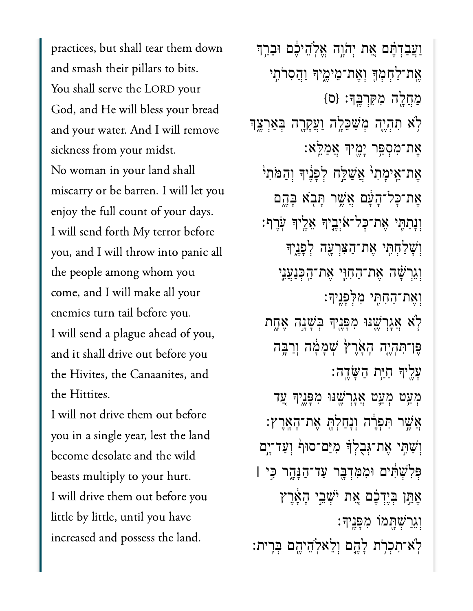practices, but shall tear them down and smash their pillars to bits. You shall serve the LORD your God, and He will bless your bread and your water. And I will remove sickness from your midst. No woman in your land shall miscarry or be barren. I will let you enjoy the full count of your days. I will send forth My terror before you, and I will throw into panic all the people among whom you come, and I will make all your enemies turn tail before you. I will send a plague ahead of you, and it shall drive out before you the Hivites, the Canaanites, and the Hittites.

I will not drive them out before you in a single year, lest the land become desolate and the wild beasts multiply to your hurt. I will drive them out before you little by little, until you have increased and possess the land.

וַעֲבַדְהֵם אֱת יִהֹוֶה אֱלְהֶיכֶם וּבֵרַךְ אֲת־לַחָמְךָ וְאֵת־מֵימֵיךָ וַהֲסְרֹתֵי מַחֲלֵה מִקְרְבֵּךְ: {ס} לְא תִהְיֶה מִשַּׁכֵּלֶה וַעֲקָרֶה בִּאַרְצֵךְ אֵת־מִסְפֵּר יָמֵיךָ אֲמַלֵּא: אֶת־אֱימַתְיֹ אֲשָׁלֵּח לְפָּנֵיךְ וְהַמֹּתְיֹ אֵת־כָּל־הָעָּׁם אֲשֵׁר תָּבְא בָּהֱם וְנַתַתִּי אֵת־כָּל־אֹיְבֵיךְ אֱלֵיךְ עָׂרֵף: וְשָׁלַחְתֵּי אֵת־הַצְּרְעָה לְפָּנֵיךּ וְגֵרִשָּׁה אֵת־הַחְוֶי אֵת־הַכְּנַעֲנֵי וְאֵת־הַחָּתֵי מִלְפָּנֵיךָ: לְא אֲגָרִשֵׁנּוּ מִפָּנֵיךְ בִּשָׁנָה אֵחֶת פֵּן־תִּהְיֶה הָאֲרֶץ שְׁמַמַּׁה וְרַבֵּה עָלֵיךּ חַיַּת הַשָּׂדֵה: מִעֲט מִעֲט אֲגָרִשֵׁנּוּ מִפְּגֵיךְ עַד אֲשֶׁר תִּפְרֶה וְנָחַלְתָּ אֵת־הָאֲרֵץ: וְשַׁתֵּי אֵת־גִּבְלְךָּ מִיַּם־סוּף וְעַד־יֶם פְּלִשְׁתִּ֫ים וּמִמְדְבֶר עַד־הַנְּהֶר כִּי | אֵתֵן בְּיֵדְבֶם אֱת יֹשָׁבֵי הָאֲרֵץ וְגֵרַשְׁתַּמוֹ מִפָּנֵיךָ: לְא־תִכְרֹת לַהֱם וְלֵאלְהֶיהֱם בְּרֵית: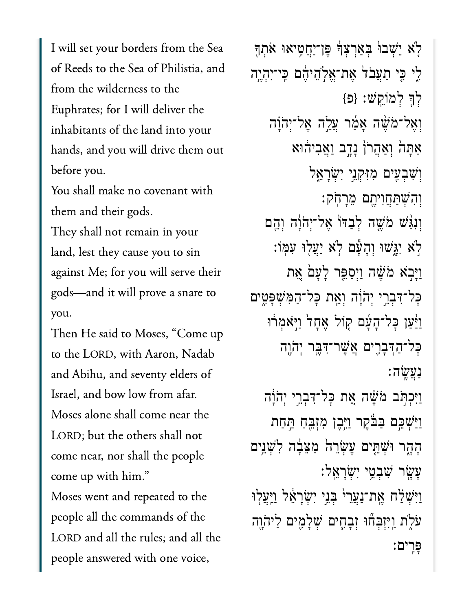I will set your borders from the Sea of Reeds to the Sea of Philistia, and from the wilderness to the Euphrates; for I will deliver the inhabitants of the land into your hands, and you will drive them out before you.

You shall make no covenant with them and their gods.

They shall not remain in your land, lest they cause you to sin against Me; for you will serve their gods—and it will prove a snare to  $\mathcal{L}$  to  $\mathcal{L}$  to  $\mathcal{L}$ 

Then He said to Moses, "Come up to the LORD, with Aaron, Nadab  $141 \cdot 1$  is a from a from a fixed bow low from a fixed bow low from a fixed bow low from a fixed bow low from a fixed bow low from a fixed bow low from a fixed bow low from a fixed bow low from a fixed bow low from a fix Israel, and bow low from afar. Moses alone shall come near the LORD; but the others shall not come near, nor shall the people come up with him."

Moses went and repeated to the people all the commands of the LORD and all the rules; and all the people answered with one voice,

לִא יֵּשְׁבוּ בְּאַרְצְדְ פֵּן־יַחֲטֶיאוּ אֹתְךָ ְלֵי כִּי תַעֲבֹד אֵת־אֱלְהֵיהֵ֫ם כֵּי־יִהְיֵה  $\{e\}$  : לְמֹוֹקֵשׁ  $\{e\}$ וְאֱל־מֹשֶׁה אָמַ֫ר עֲלֵה אֱל־יִהוָ֫ה אַתַּה וְאַהֲרֹן נַדֵּב וַאֲבִיהוּא וִשְׁבְעֵים מְזִקְנֵי יִשְׂרָאֱלֹ ְו ִה ְׁש ַּת ֲח ִו יֶ֖ת ם ֵמ ָר ֹֽח ק׃ וְנְגۡיَש מֹ*יֲ*שֶׁה לְבַדוֹ אֱל־יִהוֹוָה וְהֵם ֿלְֹא יִגְּשׁוּ וְהָעָב לְא יַעֲלְוּ עִמְוֹ וַיָּבְא מֹּשֶׁה וַיִסְפֵּר לַעַם אֱת כָּל־דִּבְרֵי יְהֹוָּה וְאֵת כָּל־הַמְּשִׁפָּטֵים וַיַּּעַן כָּל־הָעָׁם קָוֹל אֶחָד<sup>י</sup> וַיִּא<sub>ּ</sub>מְרֹוּ ּכָּל־הַדְּבָרֵיִם אֲשֶׁר־דָּבֵּ֣ר יְהֹוֶה ַנ ֲע ֶֽׂש ה׃ וַיִּכְתְּב מֹשֶׁה אֱת כָּל־דִּבְרֵי יְהֹוֶה וַיַּשְׁכֵּם בַּבֹּקֶר וַיֶּבֶן מִזְבֶּחַ תַּחַת ְהַהָר וּשָׁתֵּים עֲשָׂרֵה מַצֵּבָּה לְשָׁנֵים ַּעֲשָׂר שָׁבְטֵי יְשָׂרָאֵל: וַיִּּשְׁלַח אֵת־נַעֲרֵי בְּנֵי יְשָׂרַאֵּל וַיַּעֲלִוּ ֿעֹלִת וַיִּזְבָּחוֹּ זִבְחֶים שְׁלָמֶים לַיהֹוֶה ַפּרִים: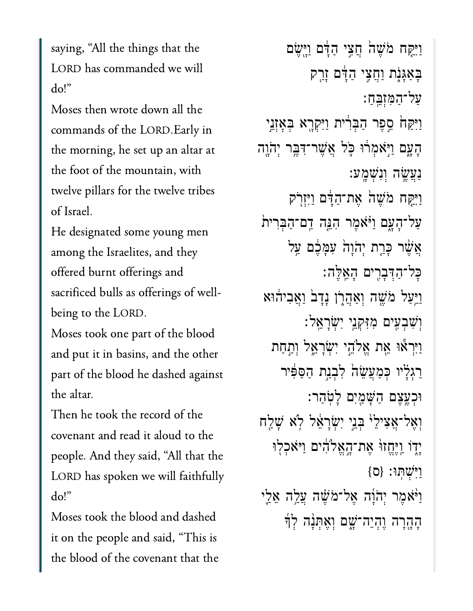saying, "All the things that the LORD has commanded we will  $\frac{1}{\sqrt{2}}$ 

Moses then wrote down all the commands of the LORD. Early in the morning, he set up an altar at the foot of the mountain, with twelve pillars for the twelve tribes  $\frac{1}{\sqrt{1-\frac{1}{\sqrt{1-\frac{1}{\sqrt{1-\frac{1}{\sqrt{1-\frac{1}{\sqrt{1-\frac{1}{\sqrt{1-\frac{1}{\sqrt{1-\frac{1}{\sqrt{1-\frac{1}{\sqrt{1-\frac{1}{\sqrt{1-\frac{1}{\sqrt{1-\frac{1}{\sqrt{1-\frac{1}{\sqrt{1-\frac{1}{\sqrt{1-\frac{1}{\sqrt{1-\frac{1}{\sqrt{1-\frac{1}{\sqrt{1-\frac{1}{\sqrt{1-\frac{1}{\sqrt{1-\frac{1}{\sqrt{1-\frac{1}{\sqrt{1-\frac{1}{\sqrt{1-\frac{1}{\sqrt{1-\frac{1}{\sqrt{1-\frac{1$ 

He designated some young men among the Israelites, and they offered burnt offerings and sacrificed bulls as offerings of wellbeing to the LORD.

Moses took one part of the blood and put it in basins, and the other  $\frac{1}{c}$  $\frac{1}{1}$  the record of the record of the record of the record of the record of the record of the record of the record of the record of the record of the record of the record of the record of the record of the record of t

Then he took the record of the covenant and read it aloud to the people. And they said, "All that the LORD has spoken we will faithfully  $\frac{1}{1}$ 

Moses took the blood and dashed it on the people and said, "This is the blood of the covenant that the

וַיִּקַח מֹשֵׁה חֲצִי הַדָּם וַיֵּשֵׂם ּבְּאַגָּנִת וַחֲצֵי הַדָּם זַרֵק ַע ל־ַה ִּמ ְז ֵּֽב ַח ׃ וַיִּקַחׂ סֵפֶר הַבְּרִית וַיִּקְרֶא בְּאָזְנֵי הַעֲם וַיִּאמְרוּ כֹּל אֲשֶׁר־דָּבֵּ֣ר יְהֹוֶה ַנ ֲע ֶׂ֥ש ה ְו ִנְׁש ָֽמ ע׃ וַיַּקַח מֹשֶׁה אֲת־הַדָּם וַיִּזְרִק  $\,$ עַל־הָעֲם וַיֹּאמֶר הָגֵּה דַם־הַבְּרִית אֲשֶׁר כְּרַת יְהֹוָה עִמַּבִ֫ם עַל ּכַל־הַדְּבַרֵים הַאֱלֶּה: וַיִּעַל מֹשֶׁה וְאַהֲרֶן נְדָב<sup>ׂ</sup> וַאֲבִיהוֹא וִשְׁבִעִּים מִזִּקְנֵי יִשְׂרָאֵל: ַוַיִּרָאׁוּ אֵת אֱלֹהֵי יִשְׂרַאֵל וְתַחַת ַרְגִלָּיו כִּמַעֲשֶׂהֹ לְבְנֵת הַסַּפִּיר ּוּכְעֱצֵם הַשָּׁמֵיִם לַטְהַר: וְאֲל־אֱצִילֵי בְּנֵי יְשְׂרַאֱל לְא שַׁלֵח ַיְדוֹ וְיֵּחֲזוֹּ אֱת־הָאֱלֹהָים ויֹּאכְלִוּ  $\{$ ס} :ויִּ ֿוַי<sup>ְּ</sup>אָמֵר יְהֹוָ֫ה אֱל־מֹשֶׁה עֲלֵה אֲלֵי ְהָהָיָה־שָׁם וְאֶתְּנָה לְדְּ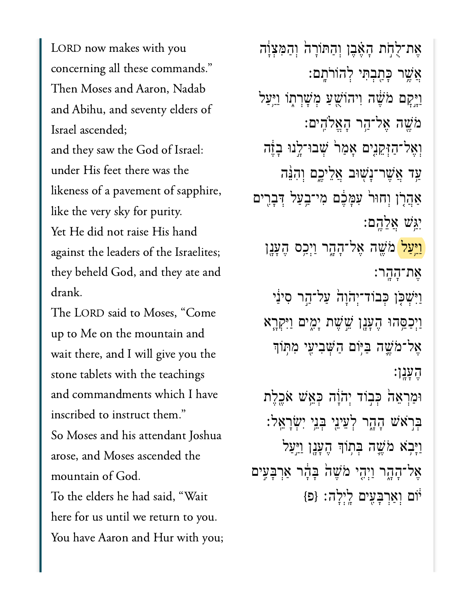LORD now makes with you concerning all these commands." Then Moses and Aaron, Nadab  $1 \text{ } 1 \text{ } 1 \text{ } 1$ Israel ascended; and they saw the God of Israel: under His feet there was the likeness of a pavement of sapphire, like the very sky for purity. Yet He did not raise His hand against the leaders of the Israelites; they beheld God, and they ate and The Lord said to Moses said to Moses said to Moses said to Moses said to Moses said to Moses said to Moses sai<br>The Lord said to Moses said to Moses said to Moses said to Moses said to Moses said to Moses said to Moses sai

The LORD said to Moses, "Come up to Me on the mountain and wait there, and I will give you the stone tablets with the teachings and commandments which I have inscribed to instruct them." So Moses and his attendant Joshua arose, and Moses ascended the mountain of God.  $\tau$  intil interval we return to  $\tau$ here for us until we return to you. You have Aaron and Hur with you;

ְאֶת־לָחָת הָאֵבֵן וְהַתּוֹרָה וְהַמְּצְוָה ָאֲשֶׁר כַּתֲבָתִּי לְהוֹרֹתֵם: ֿוַיְקָם מֹשֶׁה וִיהוֹשֻעַ מִשָּׁרְתָו וַיִּעַל ֹמ ֶׁ֖ש ה ֶא ל־ַ֥ה ר ָה ֱא ֹלִֽה ים׃ וְאֱל־הַזְּקֵנֵים אֲמַר שְׁבוּ־לֵנוּ בַזֶּה עַד אֲשֵׁר־נָשִׁוּּב אֲלֵיכֵם וְהָנֵּה אַהֲרָן וְחוּר<sup>י</sup> עִמְּבֶׁם מִי־בַעֲל דְּבָרִים :י**ַג**ּשׁ אֲלֶהֱם <mark>וַיִּעַל</mark> מֹּשֵׁה אֶל־הָהָר וַיְכִַּס הֶעָּנֶן ּאֵת־הָהֶר: וַיִּּשְׁכָּן כִּבוֹד־יָהֹוַה עַל־הַר סִינַי וַיִּכְסֱהוּ הֵעֲנֵן שֵׁשֵׁת יָמֶים וַיִּקְרֶא אֲל־מֹשֵׁה בַּיּֽוֹם הַשְּׁבִיעֵי מִתְּוֹךָ ֶה ָע ָֽנן׃ וּמַרְאֵה כִּבְוֹד יְהֹוָה כְּאֵשׁ אֹכֵלֵת  $\colon$ בְּרְאֹשׁ הָהֶר לְעֵינֵי בְּנֵי יִשְׂרָאֵל וַיַּבִא מֹשֵׁה בִּתְוֹךְ הֶעָ<u>ּנֶן וַיְּ</u>עַל אֲל־הָהָר וַיִּהִי מֹּשֵׁה בָּהָר אַרְבָּעֵים  $\{e\}$  וְאֲרְבַּעֵים לֵיְלָה: {פ